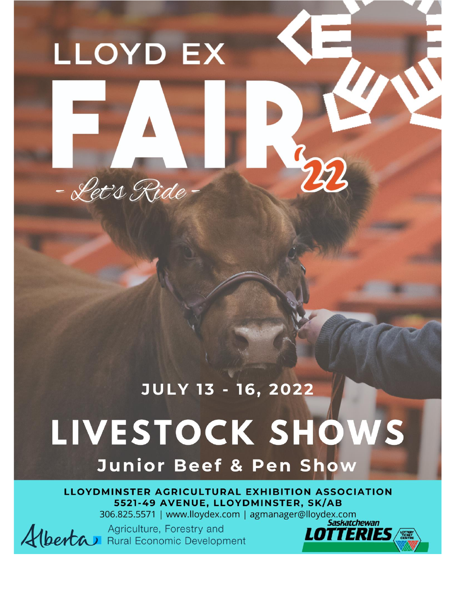# **LLOYD EX**



## **JULY 13 - 16, 2022** LIVESTOCK SHOWS

**Junior Beef & Pen Show** 

LLOYDMINSTER AGRICULTURAL EXHIBITION ASSOCIATION 5521-49 AVENUE, LLOYDMINSTER, SK/AB

306.825.5571 | www.lloydex.com | agmanager@lloydex.com

Agriculture, Forestry and Alberta Rural Economic Development

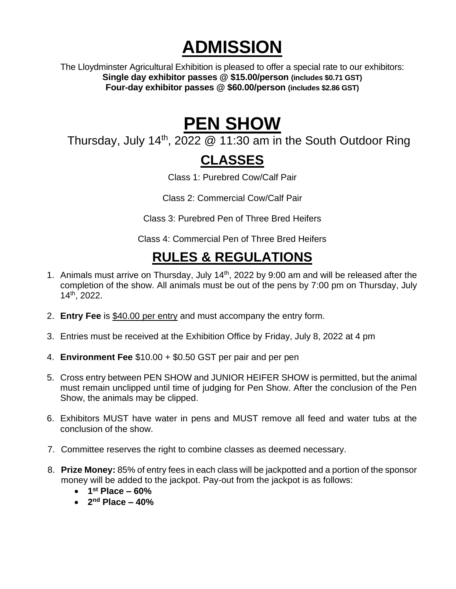## **ADMISSION**

The Lloydminster Agricultural Exhibition is pleased to offer a special rate to our exhibitors: **Single day exhibitor passes @ \$15.00/person (includes \$0.71 GST) Four-day exhibitor passes @ \$60.00/person (includes \$2.86 GST)**

### **PEN SHOW**

Thursday, July 14<sup>th</sup>, 2022  $@$  11:30 am in the South Outdoor Ring

#### **CLASSES**

Class 1: Purebred Cow/Calf Pair

Class 2: Commercial Cow/Calf Pair

Class 3: Purebred Pen of Three Bred Heifers

Class 4: Commercial Pen of Three Bred Heifers

#### **RULES & REGULATIONS**

- 1. Animals must arrive on Thursday, July 14<sup>th</sup>, 2022 by 9:00 am and will be released after the completion of the show. All animals must be out of the pens by 7:00 pm on Thursday, July 14 th, 2022.
- 2. **Entry Fee** is \$40.00 per entry and must accompany the entry form.
- 3. Entries must be received at the Exhibition Office by Friday, July 8, 2022 at 4 pm
- 4. **Environment Fee** \$10.00 + \$0.50 GST per pair and per pen
- 5. Cross entry between PEN SHOW and JUNIOR HEIFER SHOW is permitted, but the animal must remain unclipped until time of judging for Pen Show. After the conclusion of the Pen Show, the animals may be clipped.
- 6. Exhibitors MUST have water in pens and MUST remove all feed and water tubs at the conclusion of the show.
- 7. Committee reserves the right to combine classes as deemed necessary.
- 8. **Prize Money:** 85% of entry fees in each class will be jackpotted and a portion of the sponsor money will be added to the jackpot. Pay-out from the jackpot is as follows:
	- **1 st Place – 60%**
	- **2 nd Place – 40%**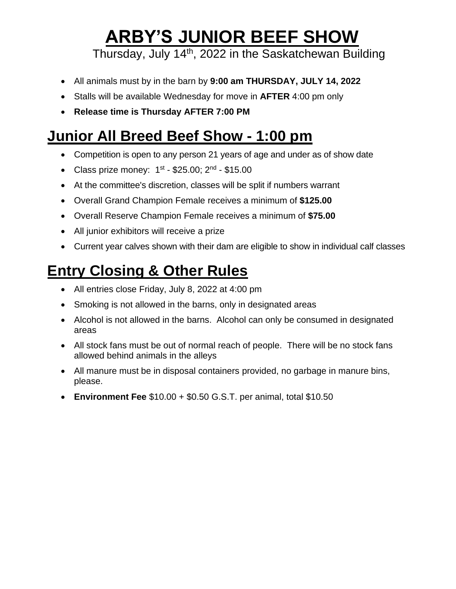## **ARBY'S JUNIOR BEEF SHOW**

Thursday, July 14<sup>th</sup>, 2022 in the Saskatchewan Building

- All animals must by in the barn by **9:00 am THURSDAY, JULY 14, 2022**
- Stalls will be available Wednesday for move in **AFTER** 4:00 pm only
- **Release time is Thursday AFTER 7:00 PM**

#### **Junior All Breed Beef Show - 1:00 pm**

- Competition is open to any person 21 years of age and under as of show date
- Class prize money:  $1^{st}$  \$25.00;  $2^{nd}$  \$15.00
- At the committee's discretion, classes will be split if numbers warrant
- Overall Grand Champion Female receives a minimum of **\$125.00**
- Overall Reserve Champion Female receives a minimum of **\$75.00**
- All junior exhibitors will receive a prize
- Current year calves shown with their dam are eligible to show in individual calf classes

### **Entry Closing & Other Rules**

- All entries close Friday, July 8, 2022 at 4:00 pm
- Smoking is not allowed in the barns, only in designated areas
- Alcohol is not allowed in the barns. Alcohol can only be consumed in designated areas
- All stock fans must be out of normal reach of people. There will be no stock fans allowed behind animals in the alleys
- All manure must be in disposal containers provided, no garbage in manure bins, please.
- **Environment Fee** \$10.00 + \$0.50 G.S.T. per animal, total \$10.50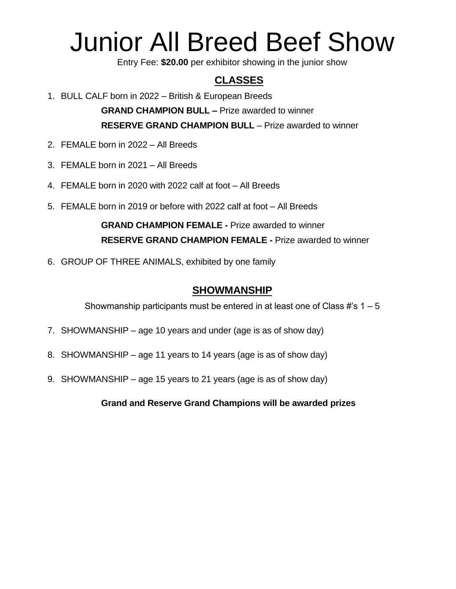## Junior All Breed Beef Show

Entry Fee: **\$20.00** per exhibitor showing in the junior show

#### **CLASSES**

1. BULL CALF born in 2022 – British & European Breeds

**GRAND CHAMPION BULL –** Prize awarded to winner **RESERVE GRAND CHAMPION BULL** – Prize awarded to winner

- 2. FEMALE born in 2022 All Breeds
- 3. FEMALE born in 2021 All Breeds
- 4. FEMALE born in 2020 with 2022 calf at foot All Breeds
- 5. FEMALE born in 2019 or before with 2022 calf at foot All Breeds

**GRAND CHAMPION FEMALE -** Prize awarded to winner **RESERVE GRAND CHAMPION FEMALE -** Prize awarded to winner

6. GROUP OF THREE ANIMALS, exhibited by one family

#### **SHOWMANSHIP**

Showmanship participants must be entered in at least one of Class  $\#s$  1 – 5

- 7. SHOWMANSHIP age 10 years and under (age is as of show day)
- 8. SHOWMANSHIP age 11 years to 14 years (age is as of show day)
- 9. SHOWMANSHIP age 15 years to 21 years (age is as of show day)

**Grand and Reserve Grand Champions will be awarded prizes**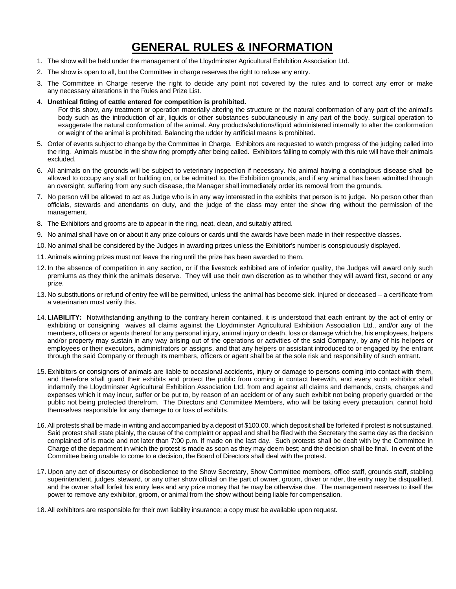#### **GENERAL RULES & INFORMATION**

- 1. The show will be held under the management of the Lloydminster Agricultural Exhibition Association Ltd.
- 2. The show is open to all, but the Committee in charge reserves the right to refuse any entry.
- 3. The Committee in Charge reserve the right to decide any point not covered by the rules and to correct any error or make any necessary alterations in the Rules and Prize List.
- 4. **Unethical fitting of cattle entered for competition is prohibited.**

For this show, any treatment or operation materially altering the structure or the natural conformation of any part of the animal's body such as the introduction of air, liquids or other substances subcutaneously in any part of the body, surgical operation to exaggerate the natural conformation of the animal. Any products/solutions/liquid administered internally to alter the conformation or weight of the animal is prohibited. Balancing the udder by artificial means is prohibited.

- 5. Order of events subject to change by the Committee in Charge. Exhibitors are requested to watch progress of the judging called into the ring. Animals must be in the show ring promptly after being called. Exhibitors failing to comply with this rule will have their animals excluded.
- 6. All animals on the grounds will be subject to veterinary inspection if necessary. No animal having a contagious disease shall be allowed to occupy any stall or building on, or be admitted to, the Exhibition grounds, and if any animal has been admitted through an oversight, suffering from any such disease, the Manager shall immediately order its removal from the grounds.
- 7. No person will be allowed to act as Judge who is in any way interested in the exhibits that person is to judge. No person other than officials, stewards and attendants on duty, and the judge of the class may enter the show ring without the permission of the management.
- 8. The Exhibitors and grooms are to appear in the ring, neat, clean, and suitably attired.
- 9. No animal shall have on or about it any prize colours or cards until the awards have been made in their respective classes.
- 10. No animal shall be considered by the Judges in awarding prizes unless the Exhibitor's number is conspicuously displayed.
- 11. Animals winning prizes must not leave the ring until the prize has been awarded to them.
- 12. In the absence of competition in any section, or if the livestock exhibited are of inferior quality, the Judges will award only such premiums as they think the animals deserve. They will use their own discretion as to whether they will award first, second or any prize.
- 13. No substitutions or refund of entry fee will be permitted, unless the animal has become sick, injured or deceased a certificate from a veterinarian must verify this.
- 14. **LIABILITY:** Notwithstanding anything to the contrary herein contained, it is understood that each entrant by the act of entry or exhibiting or consigning waives all claims against the Lloydminster Agricultural Exhibition Association Ltd., and/or any of the members, officers or agents thereof for any personal injury, animal injury or death, loss or damage which he, his employees, helpers and/or property may sustain in any way arising out of the operations or activities of the said Company, by any of his helpers or employees or their executors, administrators or assigns, and that any helpers or assistant introduced to or engaged by the entrant through the said Company or through its members, officers or agent shall be at the sole risk and responsibility of such entrant.
- 15. Exhibitors or consignors of animals are liable to occasional accidents, injury or damage to persons coming into contact with them, and therefore shall guard their exhibits and protect the public from coming in contact herewith, and every such exhibitor shall indemnify the Lloydminster Agricultural Exhibition Association Ltd. from and against all claims and demands, costs, charges and expenses which it may incur, suffer or be put to, by reason of an accident or of any such exhibit not being properly guarded or the public not being protected therefrom. The Directors and Committee Members, who will be taking every precaution, cannot hold themselves responsible for any damage to or loss of exhibits.
- 16. All protests shall be made in writing and accompanied by a deposit of \$100.00, which deposit shall be forfeited if protest is not sustained. Said protest shall state plainly, the cause of the complaint or appeal and shall be filed with the Secretary the same day as the decision complained of is made and not later than 7:00 p.m. if made on the last day. Such protests shall be dealt with by the Committee in Charge of the department in which the protest is made as soon as they may deem best; and the decision shall be final. In event of the Committee being unable to come to a decision, the Board of Directors shall deal with the protest.
- 17. Upon any act of discourtesy or disobedience to the Show Secretary, Show Committee members, office staff, grounds staff, stabling superintendent, judges, steward, or any other show official on the part of owner, groom, driver or rider, the entry may be disqualified, and the owner shall forfeit his entry fees and any prize money that he may be otherwise due. The management reserves to itself the power to remove any exhibitor, groom, or animal from the show without being liable for compensation.
- 18. All exhibitors are responsible for their own liability insurance; a copy must be available upon request.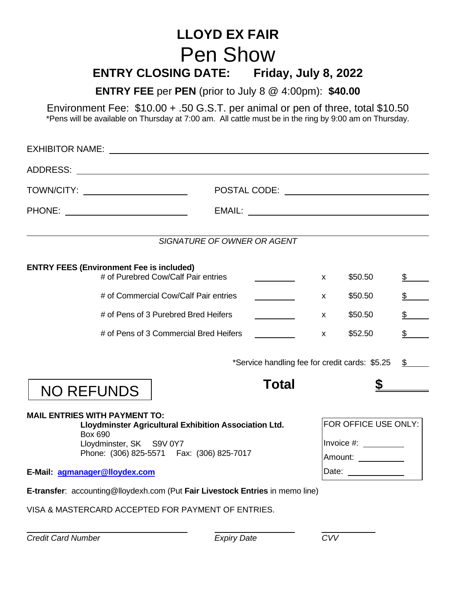#### **LLOYD EX FAIR** Pen Show **ENTRY CLOSING DATE: Friday, July 8, 2022**

**ENTRY FEE** per **PEN** (prior to July 8 @ 4:00pm): **\$40.00**

Environment Fee: \$10.00 + .50 G.S.T. per animal or pen of three, total \$10.50 \*Pens will be available on Thursday at 7:00 am. All cattle must be in the ring by 9:00 am on Thursday.

| TOWN/CITY: __________________________                                                                                                                                                       |                    |                                                                                                        |              |                |               |  |  |  |  |  |
|---------------------------------------------------------------------------------------------------------------------------------------------------------------------------------------------|--------------------|--------------------------------------------------------------------------------------------------------|--------------|----------------|---------------|--|--|--|--|--|
|                                                                                                                                                                                             |                    |                                                                                                        |              |                |               |  |  |  |  |  |
| SIGNATURE OF OWNER OR AGENT                                                                                                                                                                 |                    |                                                                                                        |              |                |               |  |  |  |  |  |
| <b>ENTRY FEES (Environment Fee is included)</b><br># of Purebred Cow/Calf Pair entries                                                                                                      |                    | X                                                                                                      | \$50.50      | $\mathbb{S}$ . |               |  |  |  |  |  |
| # of Commercial Cow/Calf Pair entries                                                                                                                                                       |                    |                                                                                                        |              | \$50.50        | $\frac{1}{2}$ |  |  |  |  |  |
| # of Pens of 3 Purebred Bred Heifers                                                                                                                                                        |                    |                                                                                                        |              | \$50.50        | \$            |  |  |  |  |  |
| # of Pens of 3 Commercial Bred Heifers                                                                                                                                                      |                    |                                                                                                        | $\mathsf{x}$ | \$52.50        | \$            |  |  |  |  |  |
| *Service handling fee for credit cards: \$5.25<br>\$<br><b>Total</b><br>$\mathbb{S}$<br><b>NO REFUNDS</b>                                                                                   |                    |                                                                                                        |              |                |               |  |  |  |  |  |
| <b>MAIL ENTRIES WITH PAYMENT TO:</b><br>Lloydminster Agricultural Exhibition Association Ltd.<br><b>Box 690</b><br>Lloydminster, SK S9V 0Y7<br>Phone: (306) 825-5571    Fax: (306) 825-7017 |                    | FOR OFFICE USE ONLY:<br>Invoice $\#$ : $\_\_\_\_\_\_\_\_\_\_\_\_\_\_\_\_\_\_\_$<br>Amount: ___________ |              |                |               |  |  |  |  |  |
| E-Mail: agmanager@lloydex.com                                                                                                                                                               | Date:              |                                                                                                        |              |                |               |  |  |  |  |  |
| E-transfer: accounting@lloydexh.com (Put Fair Livestock Entries in memo line)<br>VISA & MASTERCARD ACCEPTED FOR PAYMENT OF ENTRIES.                                                         |                    |                                                                                                        |              |                |               |  |  |  |  |  |
| <b>Credit Card Number</b>                                                                                                                                                                   | <b>Expiry Date</b> |                                                                                                        | CVV          |                |               |  |  |  |  |  |